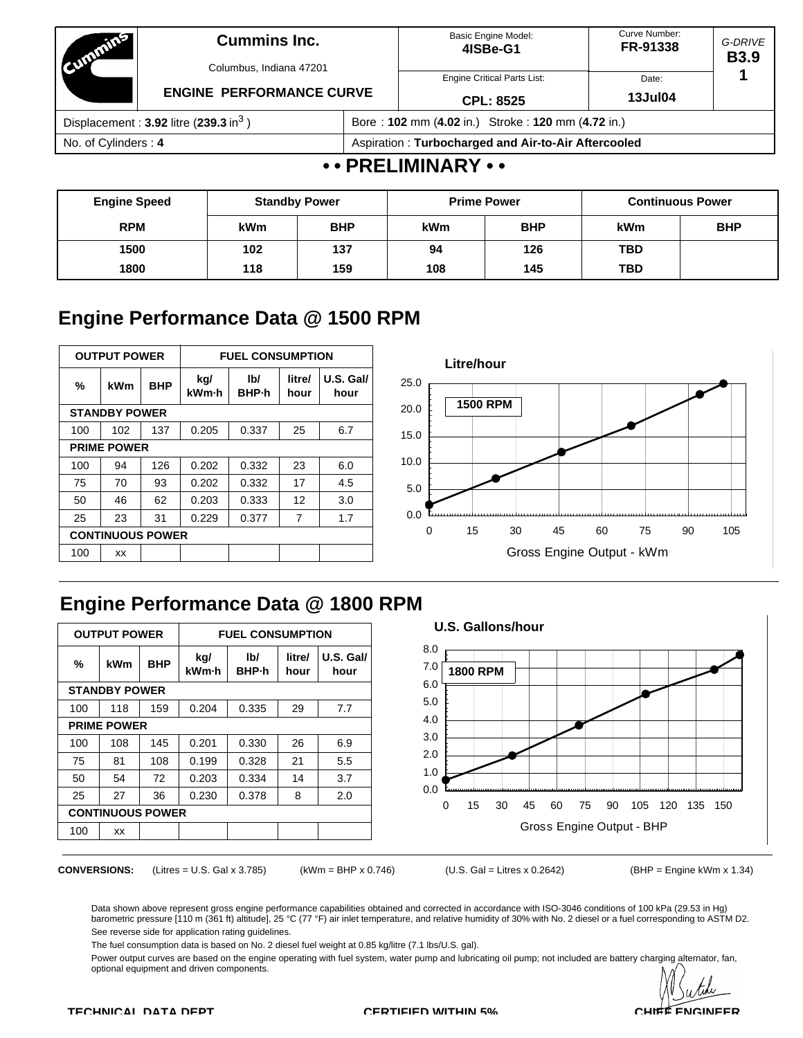| <b>COMMITTEE</b>                                    | <b>Cummins Inc.</b><br>Columbus, Indiana 47201 |                                                     | Basic Engine Model:<br>4ISBe-G1    | Curve Number:<br>FR-91338 | G-DRIVE<br><b>B3.9</b> |  |
|-----------------------------------------------------|------------------------------------------------|-----------------------------------------------------|------------------------------------|---------------------------|------------------------|--|
|                                                     | <b>ENGINE PERFORMANCE CURVE</b>                |                                                     | <b>Engine Critical Parts List:</b> | Date:                     |                        |  |
|                                                     |                                                |                                                     | <b>CPL: 8525</b>                   | <b>13Jul04</b>            |                        |  |
| Displacement: $3.92$ litre (239.3 in <sup>3</sup> ) |                                                | Bore: 102 mm (4.02 in.) Stroke: 120 mm (4.72 in.)   |                                    |                           |                        |  |
| No. of Cylinders: 4                                 |                                                | Aspiration: Turbocharged and Air-to-Air Aftercooled |                                    |                           |                        |  |
|                                                     |                                                |                                                     | $\sim$ DDFI IMILIADV $\sim$        |                           |                        |  |

## **• • PRELIMINARY • •**

| <b>Engine Speed</b> |            | <b>Standby Power</b> | <b>Prime Power</b>       |     | <b>Continuous Power</b> |            |
|---------------------|------------|----------------------|--------------------------|-----|-------------------------|------------|
| <b>RPM</b>          | <b>kWm</b> | <b>BHP</b>           | <b>BHP</b><br><b>kWm</b> |     | kWm                     | <b>BHP</b> |
| 1500                | 102        | 137                  | 94                       | 126 | <b>TBD</b>              |            |
| 1800                | 118        | 159                  | 108                      | 145 | <b>TBD</b>              |            |

# **Engine Performance Data @ 1500 RPM**

| <b>OUTPUT POWER</b>     |                      |            | <b>FUEL CONSUMPTION</b> |              |                |                   |  |  |
|-------------------------|----------------------|------------|-------------------------|--------------|----------------|-------------------|--|--|
| $\frac{9}{6}$           | kWm                  | <b>BHP</b> | kg/<br>kWm-h            | lb/<br>BHP-h | litre/<br>hour | U.S. Gal/<br>hour |  |  |
|                         | <b>STANDBY POWER</b> |            |                         |              |                |                   |  |  |
| 100                     | 102                  | 137        | 0.205                   | 0.337        | 25             | 6.7               |  |  |
|                         | <b>PRIME POWER</b>   |            |                         |              |                |                   |  |  |
| 100                     | 94                   | 126        | 0.202                   | 0.332        | 23             | 6.0               |  |  |
| 75                      | 70                   | 93         | 0.202                   | 0.332        | 17             | 4.5               |  |  |
| 50                      | 46                   | 62         | 0.203                   | 0.333        | 12             | 3.0               |  |  |
| 25                      | 23                   | 31         | 0.229                   | 0.377        | 7              | 1.7               |  |  |
| <b>CONTINUOUS POWER</b> |                      |            |                         |              |                |                   |  |  |
| 100                     | XX                   |            |                         |              |                |                   |  |  |



# **Engine Performance Data @ 1800 RPM**

| <b>OUTPUT POWER</b>     |                      |            | <b>FUEL CONSUMPTION</b>              |       |                |                   |  |  |
|-------------------------|----------------------|------------|--------------------------------------|-------|----------------|-------------------|--|--|
| ℅                       | kWm                  | <b>BHP</b> | kg/<br>lb/<br>kWm-h<br><b>BHP</b> -h |       | litre/<br>hour | U.S. Gal/<br>hour |  |  |
|                         | <b>STANDBY POWER</b> |            |                                      |       |                |                   |  |  |
| 100                     | 118                  | 159        | 0.204                                | 0.335 | 29             | 7.7               |  |  |
|                         | <b>PRIME POWER</b>   |            |                                      |       |                |                   |  |  |
| 100                     | 108                  | 145        | 0.201                                | 0.330 | 26             | 6.9               |  |  |
| 75                      | 81                   | 108        | 0.199                                | 0.328 | 21             | 5.5               |  |  |
| 50                      | 54                   | 72         | 0.203                                | 0.334 | 14             | 3.7               |  |  |
| 25                      | 27                   | 36         | 0.230                                | 0.378 | 8              | 2.0               |  |  |
| <b>CONTINUOUS POWER</b> |                      |            |                                      |       |                |                   |  |  |
| 100                     | XX                   |            |                                      |       |                |                   |  |  |

#### **U.S. Gallons/hour**



**CONVERSIONS:** (Litres = U.S. Gal x 3.785) (kWm = BHP x 0.746) (U.S. Gal = Litres x 0.2642) (BHP = Engine kWm x 1.34)

Data shown above represent gross engine performance capabilities obtained and corrected in accordance with ISO-3046 conditions of 100 kPa (29.53 in Hg) barometric pressure [110 m (361 ft) altitude], 25 °C (77 °F) air inlet temperature, and relative humidity of 30% with No. 2 diesel or a fuel corresponding to ASTM D2. See reverse side for application rating guidelines.

The fuel consumption data is based on No. 2 diesel fuel weight at 0.85 kg/litre (7.1 lbs/U.S. gal).

Power output curves are based on the engine operating with fuel system, water pump and lubricating oil pump; not included are battery charging alternator, fan, optional equipment and driven components.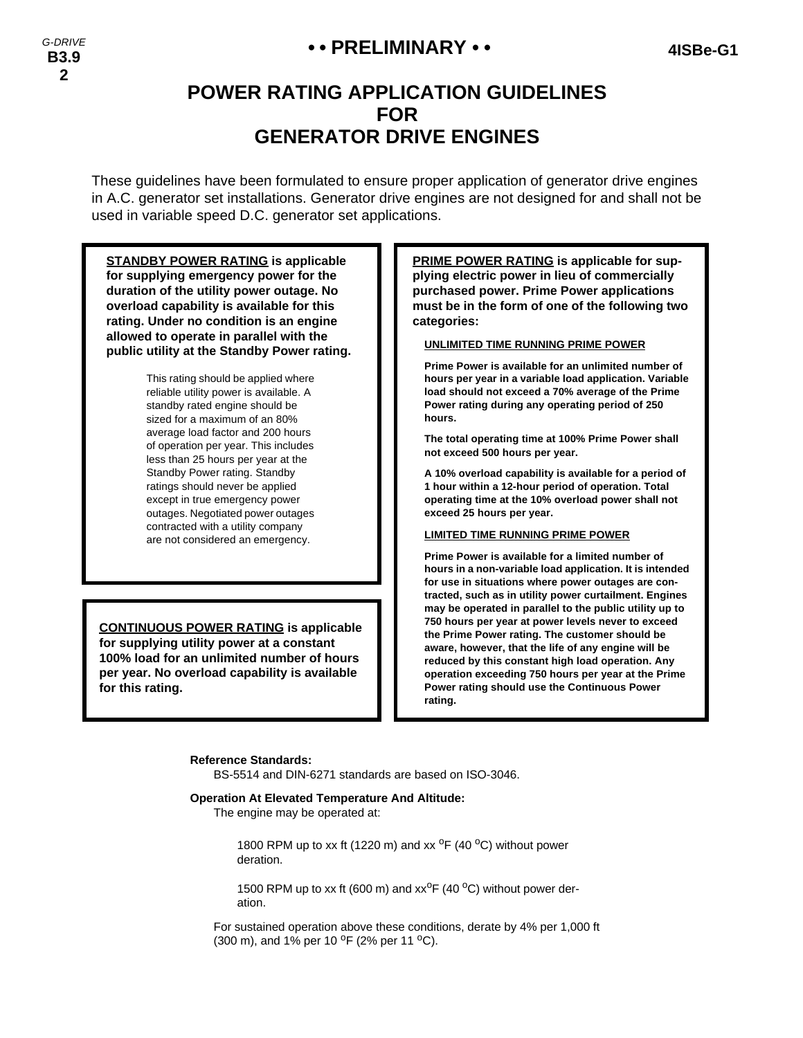## **• • PRELIMINARY • • 4ISBe-G1**

# **POWER RATING APPLICATION GUIDELINES FOR GENERATOR DRIVE ENGINES**

These guidelines have been formulated to ensure proper application of generator drive engines in A.C. generator set installations. Generator drive engines are not designed for and shall not be used in variable speed D.C. generator set applications.

**STANDBY POWER RATING is applicable for supplying emergency power for the duration of the utility power outage. No overload capability is available for this rating. Under no condition is an engine allowed to operate in parallel with the public utility at the Standby Power rating.** This rating should be applied where reliable utility power is available. A standby rated engine should be sized for a maximum of an 80% average load factor and 200 hours of operation per year. This includes less than 25 hours per year at the Standby Power rating. Standby ratings should never be applied except in true emergency power outages. Negotiated power outages contracted with a utility company are not considered an emergency. **PRIME POWER RATING is applicable for supplying electric power in lieu of commercially purchased power. Prime Power applications must be in the form of one of the following two categories: UNLIMITED TIME RUNNING PRIME POWER Prime Power is available for an unlimited number of hours per year in a variable load application. Variable load should not exceed a 70% average of the Prime Power rating during any operating period of 250 hours. The total operating time at 100% Prime Power shall not exceed 500 hours per year. A 10% overload capability is available for a period of 1 hour within a 12-hour period of operation. Total operating time at the 10% overload power shall not exceed 25 hours per year. LIMITED TIME RUNNING PRIME POWER Prime Power is available for a limited number of hours in a non-variable load application. It is intended for use in situations where power outages are contracted, such as in utility power curtailment. Engines may be operated in parallel to the public utility up to 750 hours per year at power levels never to exceed the Prime Power rating. The customer should be aware, however, that the life of any engine will be reduced by this constant high load operation. Any operation exceeding 750 hours per year at the Prime Power rating should use the Continuous Power CONTINUOUS POWER RATING is applicable for supplying utility power at a constant 100% load for an unlimited number of hours per year. No overload capability is available for this rating.**

#### **Reference Standards:**

BS-5514 and DIN-6271 standards are based on ISO-3046.

#### **Operation At Elevated Temperature And Altitude:**

The engine may be operated at:

1800 RPM up to xx ft (1220 m) and xx  $^{\circ}$ F (40  $^{\circ}$ C) without power deration.

**rating.**

1500 RPM up to xx ft (600 m) and  $xx^{\circ}F$  (40  $^{\circ}C$ ) without power deration.

For sustained operation above these conditions, derate by 4% per 1,000 ft (300 m), and 1% per 10  $^{\circ}$ F (2% per 11  $^{\circ}$ C).

*G-DRIVE* **B3.9 2**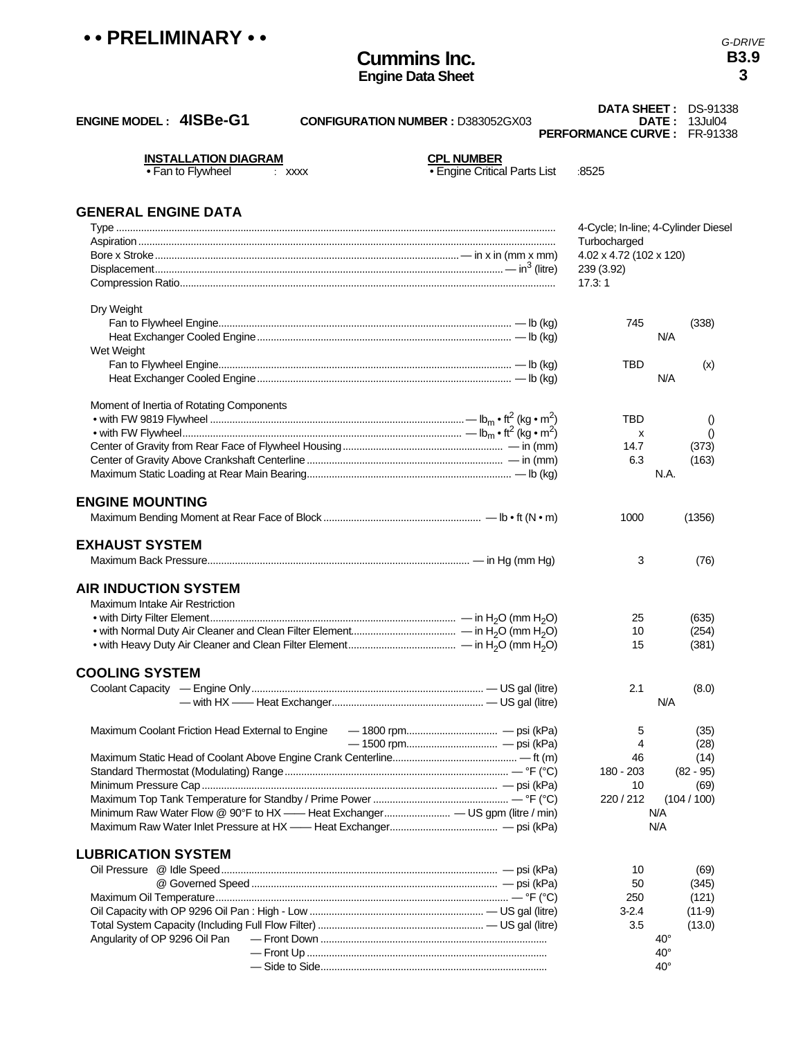| •• PRELIMINARY •• |  |
|-------------------|--|
|-------------------|--|

## **Cummins Inc. Engine Data Sheet**

*G-DRIVE* **B3.9 3**

| <b>ENGINE MODEL: 4ISBe-G1</b><br><b>CONFIGURATION NUMBER : D383052GX03</b> |                                                          | <b>PERFORMANCE CURVE: FR-91338</b> | DATA SHEET: DS-91338<br><b>DATE: 13Jul04</b> |
|----------------------------------------------------------------------------|----------------------------------------------------------|------------------------------------|----------------------------------------------|
| <b>INSTALLATION DIAGRAM</b><br>• Fan to Flywheel<br>$:$ XXXX               | <b>CPL NUMBER</b><br><b>• Engine Critical Parts List</b> | :8525                              |                                              |
| <b>GENERAL ENGINE DATA</b>                                                 |                                                          |                                    |                                              |
|                                                                            |                                                          |                                    | 4-Cycle; In-line; 4-Cylinder Diesel          |
|                                                                            |                                                          | Turbocharged                       |                                              |
|                                                                            |                                                          | 4.02 x 4.72 (102 x 120)            |                                              |
|                                                                            |                                                          | 239 (3.92)<br>17.3:1               |                                              |
|                                                                            |                                                          |                                    |                                              |
| Dry Weight                                                                 |                                                          |                                    |                                              |
|                                                                            |                                                          | 745                                | (338)<br>N/A                                 |
| Wet Weight                                                                 |                                                          |                                    |                                              |
|                                                                            |                                                          | TBD                                | (x)                                          |
|                                                                            |                                                          |                                    | N/A                                          |
|                                                                            |                                                          |                                    |                                              |
| Moment of Inertia of Rotating Components                                   |                                                          |                                    |                                              |
|                                                                            |                                                          | TBD                                | $\theta$                                     |
|                                                                            |                                                          | X                                  | $\theta$                                     |
|                                                                            |                                                          | 14.7                               | (373)                                        |
|                                                                            |                                                          | 6.3                                | (163)                                        |
|                                                                            |                                                          |                                    | N.A.                                         |
|                                                                            |                                                          |                                    |                                              |
| <b>ENGINE MOUNTING</b>                                                     |                                                          |                                    |                                              |
|                                                                            |                                                          | 1000                               | (1356)                                       |
| <b>EXHAUST SYSTEM</b>                                                      |                                                          |                                    |                                              |
|                                                                            |                                                          |                                    |                                              |
|                                                                            |                                                          | 3                                  | (76)                                         |
| <b>AIR INDUCTION SYSTEM</b>                                                |                                                          |                                    |                                              |
| <b>Maximum Intake Air Restriction</b>                                      |                                                          |                                    |                                              |
|                                                                            |                                                          | 25                                 | (635)                                        |
|                                                                            |                                                          | 10                                 | (254)                                        |
|                                                                            |                                                          | 15                                 | (381)                                        |
|                                                                            |                                                          |                                    |                                              |
| <b>COOLING SYSTEM</b>                                                      |                                                          |                                    |                                              |
|                                                                            |                                                          | 2.1                                | (8.0)                                        |
|                                                                            |                                                          |                                    | N/A                                          |
|                                                                            |                                                          |                                    |                                              |
| Maximum Coolant Friction Head External to Engine                           |                                                          | 5                                  | (35)                                         |
|                                                                            |                                                          | 4                                  | (28)                                         |
|                                                                            |                                                          | 46                                 | (14)                                         |
|                                                                            |                                                          | 180 - 203                          | $(82 - 95)$                                  |
|                                                                            |                                                          | 10                                 | (69)                                         |
|                                                                            |                                                          | 220/212                            | (104/100)                                    |
|                                                                            |                                                          |                                    | N/A                                          |
|                                                                            |                                                          |                                    | N/A                                          |
|                                                                            |                                                          |                                    |                                              |
| <b>LUBRICATION SYSTEM</b>                                                  |                                                          |                                    |                                              |
|                                                                            |                                                          | 10                                 | (69)                                         |
|                                                                            |                                                          | 50                                 | (345)                                        |
|                                                                            |                                                          | 250                                | (121)                                        |
|                                                                            |                                                          | $3 - 2.4$                          | $(11-9)$                                     |
|                                                                            |                                                          | 3.5                                | (13.0)<br>$40^{\circ}$                       |
| Angularity of OP 9296 Oil Pan                                              |                                                          |                                    | $40^{\circ}$                                 |
|                                                                            |                                                          |                                    | $40^{\circ}$                                 |
|                                                                            |                                                          |                                    |                                              |